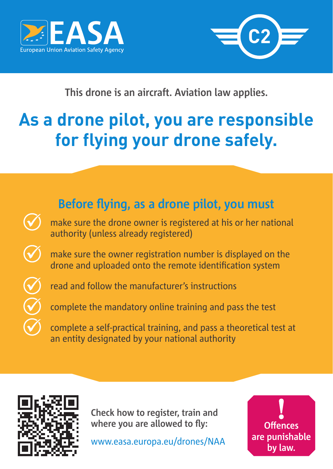



**This drone is an aircraft. Aviation law applies.**

## **As a drone pilot, you are responsible for flying your drone safely.**





**Check how to register, train and where you are allowed to fly:**

www.easa.europa.eu/drones/NAA